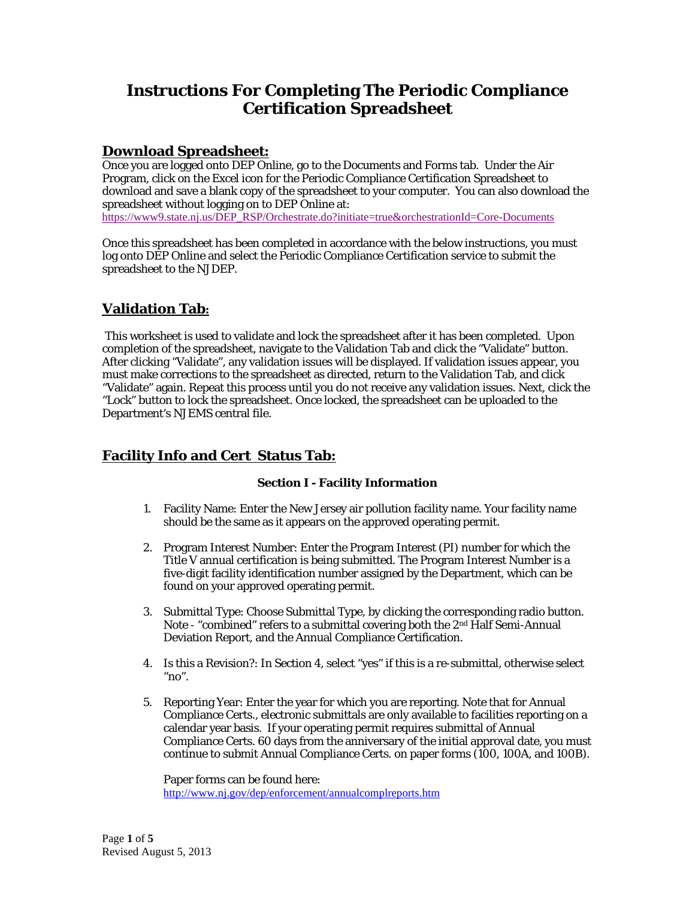# **Instructions For Completing The Periodic Compliance Certification Spreadsheet**

## **Download Spreadsheet:**

Once you are logged onto DEP Online, go to the Documents and Forms tab. Under the Air Program, click on the Excel icon for the Periodic Compliance Certification Spreadsheet to download and save a blank copy of the spreadsheet to your computer. You can also download the spreadsheet without logging on to DEP Online at:

https://www9.state.nj.us/DEP\_RSP/Orchestrate.do?initiate=true&orchestrationId=Core-Documents

Once this spreadsheet has been completed in accordance with the below instructions, you must log onto DEP Online and select the Periodic Compliance Certification service to submit the spreadsheet to the NJDEP.

## **Validation Tab:**

This worksheet is used to validate and lock the spreadsheet after it has been completed. Upon completion of the spreadsheet, navigate to the Validation Tab and click the "Validate" button. After clicking "Validate", any validation issues will be displayed. If validation issues appear, you must make corrections to the spreadsheet as directed, return to the Validation Tab, and click "Validate" again. Repeat this process until you do not receive any validation issues. Next, click the "Lock" button to lock the spreadsheet. Once locked, the spreadsheet can be uploaded to the Department's NJEMS central file.

## **Facility Info and Cert Status Tab:**

#### **Section I - Facility Information**

- 1. Facility Name: Enter the New Jersey air pollution facility name. Your facility name should be the same as it appears on the approved operating permit.
- 2. Program Interest Number: Enter the Program Interest (PI) number for which the Title V annual certification is being submitted. The Program Interest Number is a five-digit facility identification number assigned by the Department, which can be found on your approved operating permit.
- 3. Submittal Type: Choose Submittal Type, by clicking the corresponding radio button. Note - "combined" refers to a submittal covering both the 2nd Half Semi-Annual Deviation Report, and the Annual Compliance Certification.
- 4. Is this a Revision?: In Section 4, select "yes" if this is a re-submittal, otherwise select " $no$ ".
- 5. Reporting Year: Enter the year for which you are reporting. Note that for Annual Compliance Certs., electronic submittals are only available to facilities reporting on a calendar year basis. If your operating permit requires submittal of Annual Compliance Certs. 60 days from the anniversary of the initial approval date, you must continue to submit Annual Compliance Certs. on paper forms (100, 100A, and 100B).

Paper forms can be found here: http://www.nj.gov/dep/enforcement/annualcomplreports.htm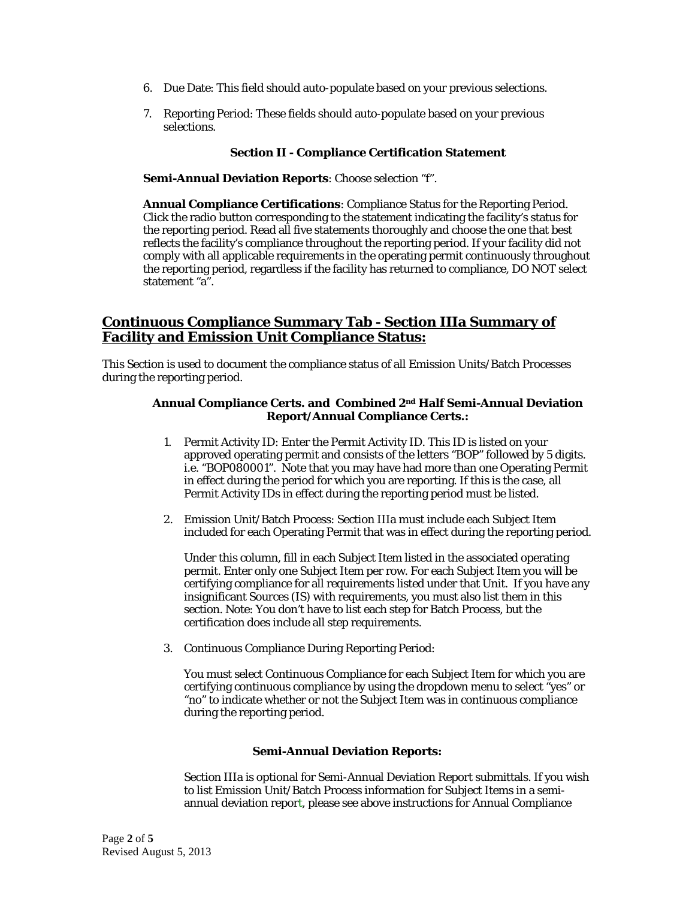- 6. Due Date: This field should auto-populate based on your previous selections.
- 7. Reporting Period: These fields should auto-populate based on your previous selections.

#### **Section II - Compliance Certification Statement**

**Semi-Annual Deviation Reports**: Choose selection "f".

**Annual Compliance Certifications**: Compliance Status for the Reporting Period. Click the radio button corresponding to the statement indicating the facility's status for the reporting period. Read all five statements thoroughly and choose the one that best reflects the facility's compliance throughout the reporting period. If your facility did not comply with all applicable requirements in the operating permit continuously throughout the reporting period, regardless if the facility has returned to compliance, DO NOT select statement "a".

## **Continuous Compliance Summary Tab - Section IIIa Summary of Facility and Emission Unit Compliance Status:**

This Section is used to document the compliance status of all Emission Units/Batch Processes during the reporting period.

#### **Annual Compliance Certs. and Combined 2nd Half Semi-Annual Deviation Report/Annual Compliance Certs.:**

- 1. Permit Activity ID: Enter the Permit Activity ID. This ID is listed on your approved operating permit and consists of the letters "BOP" followed by 5 digits. i.e. "BOP080001". Note that you may have had more than one Operating Permit in effect during the period for which you are reporting. If this is the case, all Permit Activity IDs in effect during the reporting period must be listed.
- 2. Emission Unit/Batch Process: Section IIIa must include each Subject Item included for each Operating Permit that was in effect during the reporting period.

Under this column, fill in each Subject Item listed in the associated operating permit. Enter only one Subject Item per row. For each Subject Item you will be certifying compliance for all requirements listed under that Unit. If you have any insignificant Sources (IS) with requirements, you must also list them in this section. Note: You don't have to list each step for Batch Process, but the certification does include all step requirements.

3. Continuous Compliance During Reporting Period:

You must select Continuous Compliance for each Subject Item for which you are certifying continuous compliance by using the dropdown menu to select "yes" or "no" to indicate whether or not the Subject Item was in continuous compliance during the reporting period.

#### **Semi-Annual Deviation Reports:**

Section IIIa is optional for Semi-Annual Deviation Report submittals. If you wish to list Emission Unit/Batch Process information for Subject Items in a semiannual deviation report, please see above instructions for Annual Compliance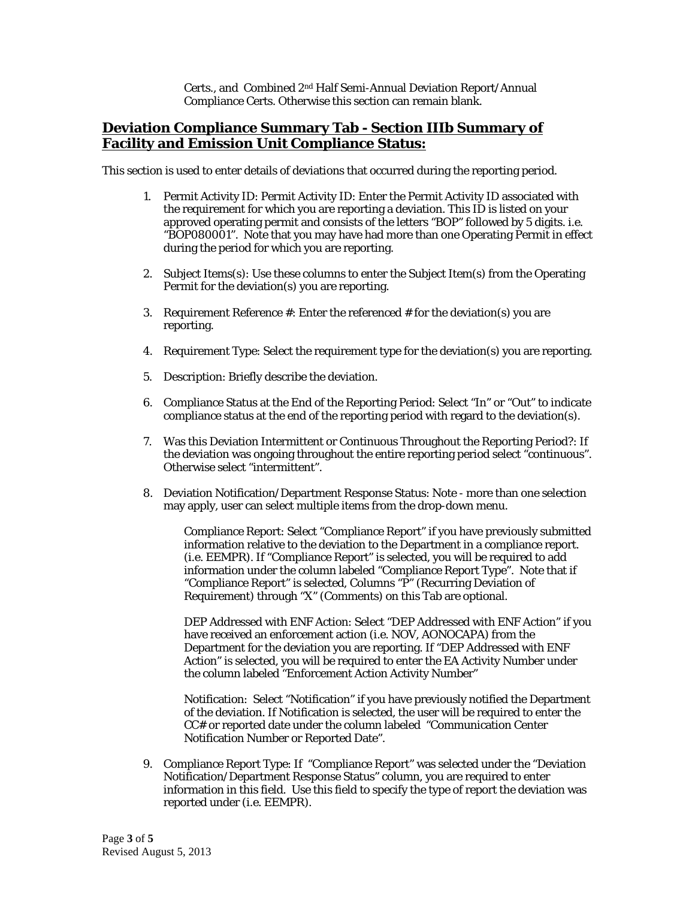Certs., and Combined 2nd Half Semi-Annual Deviation Report/Annual Compliance Certs. Otherwise this section can remain blank.

## **Deviation Compliance Summary Tab - Section IIIb Summary of Facility and Emission Unit Compliance Status:**

This section is used to enter details of deviations that occurred during the reporting period.

- 1. Permit Activity ID: Permit Activity ID: Enter the Permit Activity ID associated with the requirement for which you are reporting a deviation. This ID is listed on your approved operating permit and consists of the letters "BOP" followed by 5 digits. i.e. "BOP080001". Note that you may have had more than one Operating Permit in effect during the period for which you are reporting.
- 2. Subject Items(s): Use these columns to enter the Subject Item(s) from the Operating Permit for the deviation(s) you are reporting.
- 3. Requirement Reference #: Enter the referenced # for the deviation(s) you are reporting.
- 4. Requirement Type: Select the requirement type for the deviation(s) you are reporting.
- 5. Description: Briefly describe the deviation.
- 6. Compliance Status at the End of the Reporting Period: Select "In" or "Out" to indicate compliance status at the end of the reporting period with regard to the deviation(s).
- 7. Was this Deviation Intermittent or Continuous Throughout the Reporting Period?: If the deviation was ongoing throughout the entire reporting period select "continuous". Otherwise select "intermittent".
- 8. Deviation Notification/Department Response Status: Note more than one selection may apply, user can select multiple items from the drop-down menu.

Compliance Report: Select "Compliance Report" if you have previously submitted information relative to the deviation to the Department in a compliance report. (i.e. EEMPR). If "Compliance Report" is selected, you will be required to add information under the column labeled "Compliance Report Type". Note that if "Compliance Report" is selected, Columns "P" (Recurring Deviation of Requirement) through "X" (Comments) on this Tab are optional.

DEP Addressed with ENF Action: Select "DEP Addressed with ENF Action" if you have received an enforcement action (i.e. NOV, AONOCAPA) from the Department for the deviation you are reporting. If "DEP Addressed with ENF Action" is selected, you will be required to enter the EA Activity Number under the column labeled "Enforcement Action Activity Number"

Notification: Select "Notification" if you have previously notified the Department of the deviation. If Notification is selected, the user will be required to enter the CC# or reported date under the column labeled "Communication Center Notification Number or Reported Date".

9. Compliance Report Type: If "Compliance Report" was selected under the "Deviation Notification/Department Response Status" column, you are required to enter information in this field. Use this field to specify the type of report the deviation was reported under (i.e. EEMPR).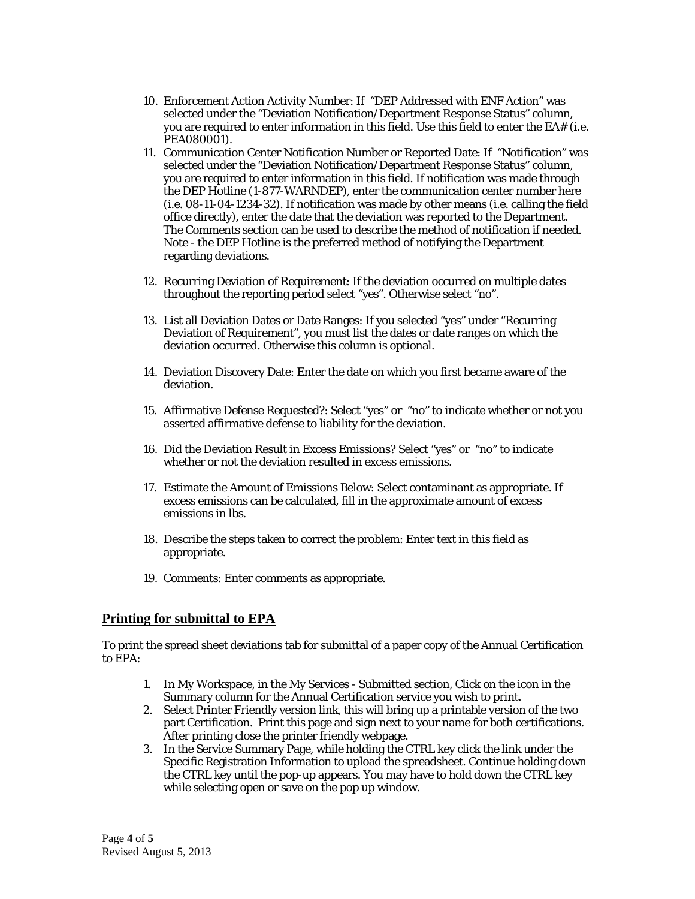- 10. Enforcement Action Activity Number: If "DEP Addressed with ENF Action" was selected under the "Deviation Notification/Department Response Status" column, you are required to enter information in this field. Use this field to enter the EA# (i.e. PEA080001).
- 11. Communication Center Notification Number or Reported Date: If "Notification" was selected under the "Deviation Notification/Department Response Status" column, you are required to enter information in this field. If notification was made through the DEP Hotline (1-877-WARNDEP), enter the communication center number here (i.e. 08-11-04-1234-32). If notification was made by other means (i.e. calling the field office directly), enter the date that the deviation was reported to the Department. The Comments section can be used to describe the method of notification if needed. Note - the DEP Hotline is the preferred method of notifying the Department regarding deviations.
- 12. Recurring Deviation of Requirement: If the deviation occurred on multiple dates throughout the reporting period select "yes". Otherwise select "no".
- 13. List all Deviation Dates or Date Ranges: If you selected "yes" under "Recurring Deviation of Requirement", you must list the dates or date ranges on which the deviation occurred. Otherwise this column is optional.
- 14. Deviation Discovery Date: Enter the date on which you first became aware of the deviation.
- 15. Affirmative Defense Requested?: Select "yes" or "no" to indicate whether or not you asserted affirmative defense to liability for the deviation.
- 16. Did the Deviation Result in Excess Emissions? Select "yes" or "no" to indicate whether or not the deviation resulted in excess emissions.
- 17. Estimate the Amount of Emissions Below: Select contaminant as appropriate. If excess emissions can be calculated, fill in the approximate amount of excess emissions in lbs.
- 18. Describe the steps taken to correct the problem: Enter text in this field as appropriate.
- 19. Comments: Enter comments as appropriate.

### **Printing for submittal to EPA**

To print the spread sheet deviations tab for submittal of a paper copy of the Annual Certification to EPA:

- 1. In My Workspace, in the My Services Submitted section, Click on the icon in the Summary column for the Annual Certification service you wish to print.
- 2. Select Printer Friendly version link, this will bring up a printable version of the two part Certification. Print this page and sign next to your name for both certifications. After printing close the printer friendly webpage.
- 3. In the Service Summary Page, while holding the CTRL key click the link under the Specific Registration Information to upload the spreadsheet. Continue holding down the CTRL key until the pop-up appears. You may have to hold down the CTRL key while selecting open or save on the pop up window.